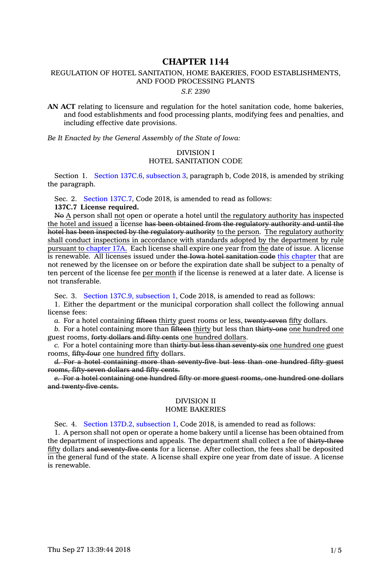# **CHAPTER 1144**

# REGULATION OF HOTEL SANITATION, HOME BAKERIES, FOOD ESTABLISHMENTS, AND FOOD PROCESSING PLANTS

#### *S.F. 2390*

**AN ACT** relating to licensure and regulation for the hotel sanitation code, home bakeries, and food establishments and food processing plants, modifying fees and penalties, and including effective date provisions.

*Be It Enacted by the General Assembly of the State of Iowa:*

### DIVISION I HOTEL SANITATION CODE

Section 1. Section 137C.6, [subsection](https://www.legis.iowa.gov/docs/code/2018/137C.6.pdf) 3, paragraph b, Code 2018, is amended by striking the paragraph.

Sec. 2. Section [137C.7](https://www.legis.iowa.gov/docs/code/2018/137C.7.pdf), Code 2018, is amended to read as follows:

**137C.7 License required.**

No A person shall not open or operate <sup>a</sup> hotel until the regulatory authority has inspected the hotel and issued <sup>a</sup> license has been obtained from the regulatory authority and until the hotel has been inspected by the regulatory authority to the person. The regulatory authority shall conduct inspections in accordance with standards adopted by the department by rule pursuant to [chapter](https://www.legis.iowa.gov/docs/code/2018/17A.pdf) 17A. Each license shall expire one year from the date of issue. A license is renewable. All licenses issued under the Iowa hotel sanitation code this [chapter](https://www.legis.iowa.gov/docs/code/2018/137C.pdf) that are not renewed by the licensee on or before the expiration date shall be subject to <sup>a</sup> penalty of ten percent of the license fee per month if the license is renewed at <sup>a</sup> later date. A license is not transferable.

Sec. 3. Section 137C.9, [subsection](https://www.legis.iowa.gov/docs/code/2018/137C.9.pdf) 1, Code 2018, is amended to read as follows:

1. Either the department or the municipal corporation shall collect the following annual license fees:

*a.* For <sup>a</sup> hotel containing fifteen thirty guest rooms or less, twenty-seven fifty dollars.

*b.* For <sup>a</sup> hotel containing more than fifteen thirty but less than thirty-one one hundred one guest rooms, forty dollars and fifty cents one hundred dollars.

*c.* For <sup>a</sup> hotel containing more than thirty but less than seventy-six one hundred one guest rooms, fifty-four one hundred fifty dollars.

*d.* For <sup>a</sup> hotel containing more than seventy-five but less than one hundred fifty guest rooms, fifty-seven dollars and fifty cents.

*e.* For <sup>a</sup> hotel containing one hundred fifty or more guest rooms, one hundred one dollars and twenty-five cents.

### DIVISION II HOME BAKERIES

Sec. 4. Section 137D.2, [subsection](https://www.legis.iowa.gov/docs/code/2018/137D.2.pdf) 1, Code 2018, is amended to read as follows:

1. A person shall not open or operate <sup>a</sup> home bakery until <sup>a</sup> license has been obtained from the department of inspections and appeals. The department shall collect <sup>a</sup> fee of thirty-three fifty dollars and seventy-five cents for <sup>a</sup> license. After collection, the fees shall be deposited in the general fund of the state. A license shall expire one year from date of issue. A license is renewable.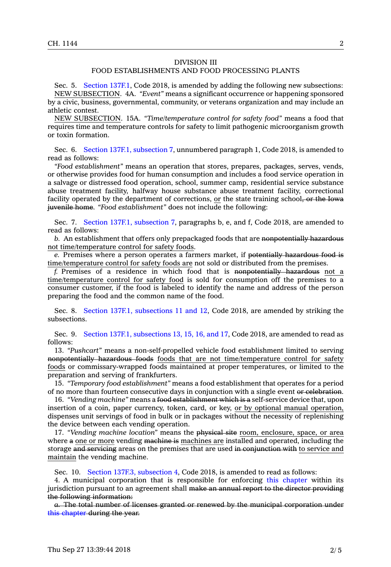## DIVISION III

# FOOD ESTABLISHMENTS AND FOOD PROCESSING PLANTS

Sec. 5. Section [137F.1](https://www.legis.iowa.gov/docs/code/2018/137F.1.pdf), Code 2018, is amended by adding the following new subsections: NEW SUBSECTION. 4A. *"Event"* means <sup>a</sup> significant occurrence or happening sponsored by <sup>a</sup> civic, business, governmental, community, or veterans organization and may include an athletic contest.

NEW SUBSECTION. 15A. *"Time/temperature control for safety food"* means <sup>a</sup> food that requires time and temperature controls for safety to limit pathogenic microorganism growth or toxin formation.

Sec. 6. Section 137F.1, [subsection](https://www.legis.iowa.gov/docs/code/2018/137F.1.pdf) 7, unnumbered paragraph 1, Code 2018, is amended to read as follows:

*"Food establishment"* means an operation that stores, prepares, packages, serves, vends, or otherwise provides food for human consumption and includes <sup>a</sup> food service operation in <sup>a</sup> salvage or distressed food operation, school, summer camp, residential service substance abuse treatment facility, halfway house substance abuse treatment facility, correctional facility operated by the department of corrections, or the state training school, or the Iowa juvenile home. *"Food establishment"* does not include the following:

Sec. 7. Section 137F.1, [subsection](https://www.legis.iowa.gov/docs/code/2018/137F.1.pdf) 7, paragraphs b, e, and f, Code 2018, are amended to read as follows:

*b.* An establishment that offers only prepackaged foods that are nonpotentially hazardous not time/temperature control for safety foods.

*e.* Premises where <sup>a</sup> person operates <sup>a</sup> farmers market, if potentially hazardous food is time/temperature control for safety foods are not sold or distributed from the premises.

*f.* Premises of <sup>a</sup> residence in which food that is nonpotentially hazardous not <sup>a</sup> time/temperature control for safety food is sold for consumption off the premises to <sup>a</sup> consumer customer, if the food is labeled to identify the name and address of the person preparing the food and the common name of the food.

Sec. 8. Section 137F.1, [subsections](https://www.legis.iowa.gov/docs/code/2018/137F.1.pdf) 11 and 12, Code 2018, are amended by striking the subsections.

Sec. 9. Section 137F.1, [subsections](https://www.legis.iowa.gov/docs/code/2018/137F.1.pdf) 13, 15, 16, and 17, Code 2018, are amended to read as follows:

13. *"Pushcart"* means <sup>a</sup> non-self-propelled vehicle food establishment limited to serving nonpotentially hazardous foods foods that are not time/temperature control for safety foods or commissary-wrapped foods maintained at proper temperatures, or limited to the preparation and serving of frankfurters.

15. *"Temporary food establishment"* means <sup>a</sup> food establishment that operates for <sup>a</sup> period of no more than fourteen consecutive days in conjunction with <sup>a</sup> single event or celebration.

16. *"Vending machine"* means <sup>a</sup> food establishment which is <sup>a</sup> self-service device that, upon insertion of <sup>a</sup> coin, paper currency, token, card, or key, or by optional manual operation, dispenses unit servings of food in bulk or in packages without the necessity of replenishing the device between each vending operation.

17. *"Vending machine location"* means the physical site room, enclosure, space, or area where <sup>a</sup> one or more vending machine is machines are installed and operated, including the storage and servicing areas on the premises that are used in conjunction with to service and maintain the vending machine.

Sec. 10. Section 137F.3, [subsection](https://www.legis.iowa.gov/docs/code/2018/137F.3.pdf) 4, Code 2018, is amended to read as follows:

4. A municipal corporation that is responsible for enforcing this [chapter](https://www.legis.iowa.gov/docs/code/2018/137F.pdf) within its jurisdiction pursuant to an agreement shall make an annual report to the director providing the following information:

*a.* The total number of licenses granted or renewed by the municipal corporation under this [chapter](https://www.legis.iowa.gov/docs/code/2018/137F.pdf) during the year.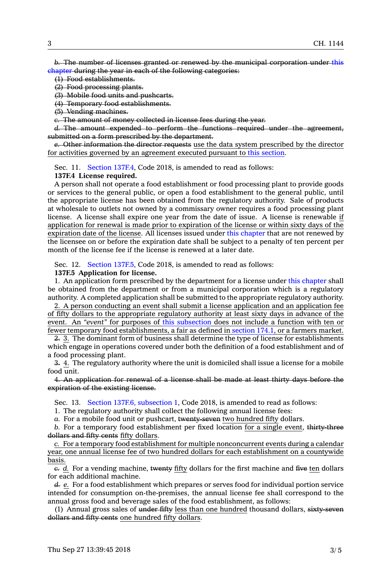*b.* The number of licenses granted or renewed by the municipal corporation under [this](https://www.legis.iowa.gov/docs/code/2018/137F.pdf) [chapter](https://www.legis.iowa.gov/docs/code/2018/137F.pdf) during the year in each of the following categories:

(1) Food establishments.

(2) Food processing plants.

(3) Mobile food units and pushcarts.

(4) Temporary food establishments.

(5) Vending machines.

*c.* The amount of money collected in license fees during the year.

*d.* The amount expended to perform the functions required under the agreement, submitted on <sup>a</sup> form prescribed by the department.

*e.* Other information the director requests use the data system prescribed by the director for activities governed by an agreement executed pursuant to this [section](https://www.legis.iowa.gov/docs/code/2018/137F.3.pdf).

Sec. 11. Section [137F.4](https://www.legis.iowa.gov/docs/code/2018/137F.4.pdf), Code 2018, is amended to read as follows:

**137F.4 License required.**

A person shall not operate <sup>a</sup> food establishment or food processing plant to provide goods or services to the general public, or open <sup>a</sup> food establishment to the general public, until the appropriate license has been obtained from the regulatory authority. Sale of products at wholesale to outlets not owned by <sup>a</sup> commissary owner requires <sup>a</sup> food processing plant license. A license shall expire one year from the date of issue. A license is renewable if application for renewal is made prior to expiration of the license or within sixty days of the expiration date of the license. All licenses issued under this [chapter](https://www.legis.iowa.gov/docs/code/2018/137F.pdf) that are not renewed by the licensee on or before the expiration date shall be subject to <sup>a</sup> penalty of ten percent per month of the license fee if the license is renewed at <sup>a</sup> later date.

Sec. 12. Section [137F.5](https://www.legis.iowa.gov/docs/code/2018/137F.5.pdf), Code 2018, is amended to read as follows:

#### **137F.5 Application for license.**

1. An application form prescribed by the department for <sup>a</sup> license under this [chapter](https://www.legis.iowa.gov/docs/code/2018/137F.pdf) shall be obtained from the department or from <sup>a</sup> municipal corporation which is <sup>a</sup> regulatory authority. A completed application shall be submitted to the appropriate regulatory authority.

2. A person conducting an event shall submit <sup>a</sup> license application and an application fee of fifty dollars to the appropriate regulatory authority at least sixty days in advance of the event. An *"event"* for purposes of this [subsection](https://www.legis.iowa.gov/docs/code/2018/137F.5.pdf) does not include <sup>a</sup> function with ten or fewer temporary food establishments, <sup>a</sup> fair as defined in [section](https://www.legis.iowa.gov/docs/code/2018/174.1.pdf) 174.1, or <sup>a</sup> farmers market.

2. 3. The dominant form of business shall determine the type of license for establishments which engage in operations covered under both the definition of <sup>a</sup> food establishment and of <sup>a</sup> food processing plant.

3. 4. The regulatory authority where the unit is domiciled shall issue <sup>a</sup> license for <sup>a</sup> mobile food unit.

4. An application for renewal of <sup>a</sup> license shall be made at least thirty days before the expiration of the existing license.

Sec. 13. Section 137F.6, [subsection](https://www.legis.iowa.gov/docs/code/2018/137F.6.pdf) 1, Code 2018, is amended to read as follows:

1. The regulatory authority shall collect the following annual license fees:

*a.* For <sup>a</sup> mobile food unit or pushcart, twenty-seven two hundred fifty dollars.

*b.* For <sup>a</sup> temporary food establishment per fixed location for <sup>a</sup> single event, thirty-three dollars and fifty cents fifty dollars.

*c.* For <sup>a</sup> temporary food establishment for multiple nonconcurrent events during <sup>a</sup> calendar year, one annual license fee of two hundred dollars for each establishment on <sup>a</sup> countywide basis.

*c. d.* For <sup>a</sup> vending machine, twenty fifty dollars for the first machine and five ten dollars for each additional machine.

*d. e.* For <sup>a</sup> food establishment which prepares or serves food for individual portion service intended for consumption on-the-premises, the annual license fee shall correspond to the annual gross food and beverage sales of the food establishment, as follows:

(1) Annual gross sales of under fifty less than one hundred thousand dollars, sixty-seven dollars and fifty cents one hundred fifty dollars.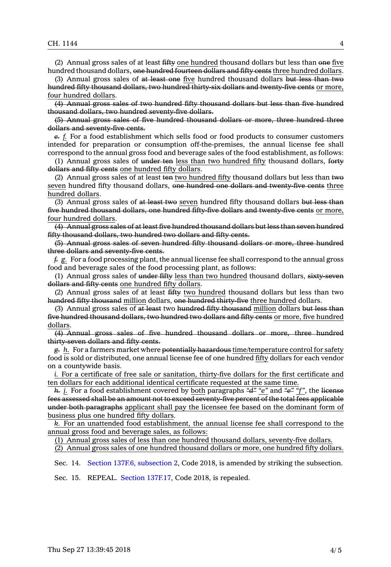(2) Annual gross sales of at least fifty one hundred thousand dollars but less than one five hundred thousand dollars, one hundred fourteen dollars and fifty cents three hundred dollars.

(3) Annual gross sales of at least one five hundred thousand dollars but less than two hundred fifty thousand dollars, two hundred thirty-six dollars and twenty-five cents or more, four hundred dollars.

(4) Annual gross sales of two hundred fifty thousand dollars but less than five hundred thousand dollars, two hundred seventy-five dollars.

(5) Annual gross sales of five hundred thousand dollars or more, three hundred three dollars and seventy-five cents.

*e. f.* For <sup>a</sup> food establishment which sells food or food products to consumer customers intended for preparation or consumption off-the-premises, the annual license fee shall correspond to the annual gross food and beverage sales of the food establishment, as follows:

(1) Annual gross sales of under ten less than two hundred fifty thousand dollars, forty dollars and fifty cents one hundred fifty dollars.

(2) Annual gross sales of at least ten two hundred fifty thousand dollars but less than two seven hundred fifty thousand dollars, one hundred one dollars and twenty-five cents three hundred dollars.

(3) Annual gross sales of at least two seven hundred fifty thousand dollars but less than five hundred thousand dollars, one hundred fifty-five dollars and twenty-five cents or more, four hundred dollars.

(4) Annual gross sales of at least five hundred thousand dollars but less than seven hundred fifty thousand dollars, two hundred two dollars and fifty cents.

(5) Annual gross sales of seven hundred fifty thousand dollars or more, three hundred three dollars and seventy-five cents.

*f. g.* For <sup>a</sup> food processing plant, the annual license fee shall correspond to the annual gross food and beverage sales of the food processing plant, as follows:

(1) Annual gross sales of under fifty less than two hundred thousand dollars,  $s$ ixty-seven dollars and fifty cents one hundred fifty dollars.

(2) Annual gross sales of at least fifty two hundred thousand dollars but less than two hundred fifty thousand million dollars, one hundred thirty-five three hundred dollars.

(3) Annual gross sales of at least two hundred fifty thousand million dollars but less than five hundred thousand dollars, two hundred two dollars and fifty cents or more, five hundred dollars.

(4) Annual gross sales of five hundred thousand dollars or more, three hundred thirty-seven dollars and fifty cents.

*g. h.* For <sup>a</sup> farmers market where potentially hazardous time/temperature control for safety food is sold or distributed, one annual license fee of one hundred fifty dollars for each vendor on <sup>a</sup> countywide basis.

*i.* For <sup>a</sup> certificate of free sale or sanitation, thirty-five dollars for the first certificate and ten dollars for each additional identical certificate requested at the same time.

*h. j.* For <sup>a</sup> food establishment covered by both paragraphs *"d" "e"* and *"e" "f"*, the license fees assessed shall be an amount not to exceed seventy-five percent of the total fees applicable under both paragraphs applicant shall pay the licensee fee based on the dominant form of business plus one hundred fifty dollars.

*k.* For an unattended food establishment, the annual license fee shall correspond to the annual gross food and beverage sales, as follows:

(1) Annual gross sales of less than one hundred thousand dollars, seventy-five dollars.

(2) Annual gross sales of one hundred thousand dollars or more, one hundred fifty dollars.

Sec. 14. Section 137F.6, [subsection](https://www.legis.iowa.gov/docs/code/2018/137F.6.pdf) 2, Code 2018, is amended by striking the subsection.

Sec. 15. REPEAL. Section [137F.17](https://www.legis.iowa.gov/docs/code/2018/137F.17.pdf), Code 2018, is repealed.